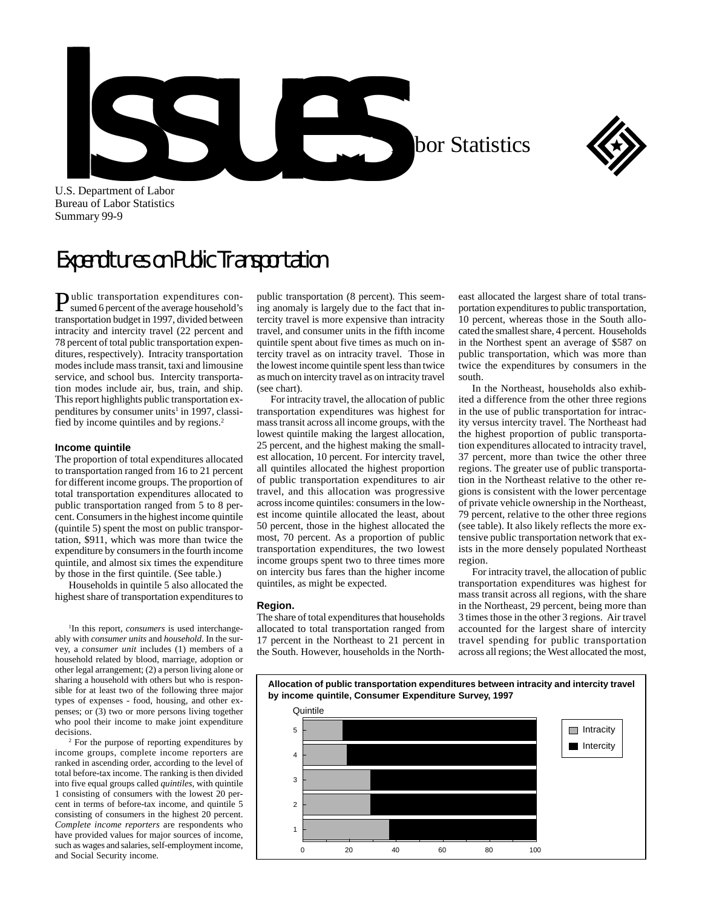U.S. S. Department of Labor in Labor Statistics



U.S. Department of Labor Bureau of Labor Statistics Summary 99-9

## Expenditures on Public Transportation

Public transportation expenditures con-sumed 6 percent of the average household's transportation budget in 1997, divided between intracity and intercity travel (22 percent and 78 percent of total public transportation expenditures, respectively). Intracity transportation modes include mass transit, taxi and limousine service, and school bus. Intercity transportation modes include air, bus, train, and ship. This report highlights public transportation expenditures by consumer units<sup>1</sup> in 1997, classified by income quintiles and by regions.2

## **Income quintile**

The proportion of total expenditures allocated to transportation ranged from 16 to 21 percent for different income groups. The proportion of total transportation expenditures allocated to public transportation ranged from 5 to 8 percent. Consumers in the highest income quintile (quintile 5) spent the most on public transportation, \$911, which was more than twice the expenditure by consumers in the fourth income quintile, and almost six times the expenditure by those in the first quintile. (See table.)

Households in quintile 5 also allocated the highest share of transportation expenditures to

<sup>1</sup>In this report, *consumers* is used interchangeably with *consumer units* and *household*. In the survey, a *consumer unit* includes (1) members of a household related by blood, marriage, adoption or other legal arrangement; (2) a person living alone or sharing a household with others but who is responsible for at least two of the following three major types of expenses - food, housing, and other expenses; or (3) two or more persons living together who pool their income to make joint expenditure decisions.

2 For the purpose of reporting expenditures by income groups, complete income reporters are ranked in ascending order, according to the level of total before-tax income. The ranking is then divided into five equal groups called *quintiles*, with quintile 1 consisting of consumers with the lowest 20 percent in terms of before-tax income, and quintile 5 consisting of consumers in the highest 20 percent. *Complete income reporters* are respondents who have provided values for major sources of income, such as wages and salaries, self-employment income, and Social Security income.

public transportation (8 percent). This seeming anomaly is largely due to the fact that intercity travel is more expensive than intracity travel, and consumer units in the fifth income quintile spent about five times as much on intercity travel as on intracity travel. Those in the lowest income quintile spent less than twice as much on intercity travel as on intracity travel (see chart).

For intracity travel, the allocation of public transportation expenditures was highest for mass transit across all income groups, with the lowest quintile making the largest allocation, 25 percent, and the highest making the smallest allocation, 10 percent. For intercity travel, all quintiles allocated the highest proportion of public transportation expenditures to air travel, and this allocation was progressive across income quintiles: consumers in the lowest income quintile allocated the least, about 50 percent, those in the highest allocated the most, 70 percent. As a proportion of public transportation expenditures, the two lowest income groups spent two to three times more on intercity bus fares than the higher income quintiles, as might be expected.

## **Region.**

The share of total expenditures that households allocated to total transportation ranged from 17 percent in the Northeast to 21 percent in the South. However, households in the Northeast allocated the largest share of total transportation expenditures to public transportation, 10 percent, whereas those in the South allocated the smallest share, 4 percent. Households in the Northest spent an average of \$587 on public transportation, which was more than twice the expenditures by consumers in the south.

In the Northeast, households also exhibited a difference from the other three regions in the use of public transportation for intracity versus intercity travel. The Northeast had the highest proportion of public transportation expenditures allocated to intracity travel, 37 percent, more than twice the other three regions. The greater use of public transportation in the Northeast relative to the other regions is consistent with the lower percentage of private vehicle ownership in the Northeast, 79 percent, relative to the other three regions (see table). It also likely reflects the more extensive public transportation network that exists in the more densely populated Northeast region.

For intracity travel, the allocation of public transportation expenditures was highest for mass transit across all regions, with the share in the Northeast, 29 percent, being more than 3 times those in the other 3 regions. Air travel accounted for the largest share of intercity travel spending for public transportation across all regions; the West allocated the most,